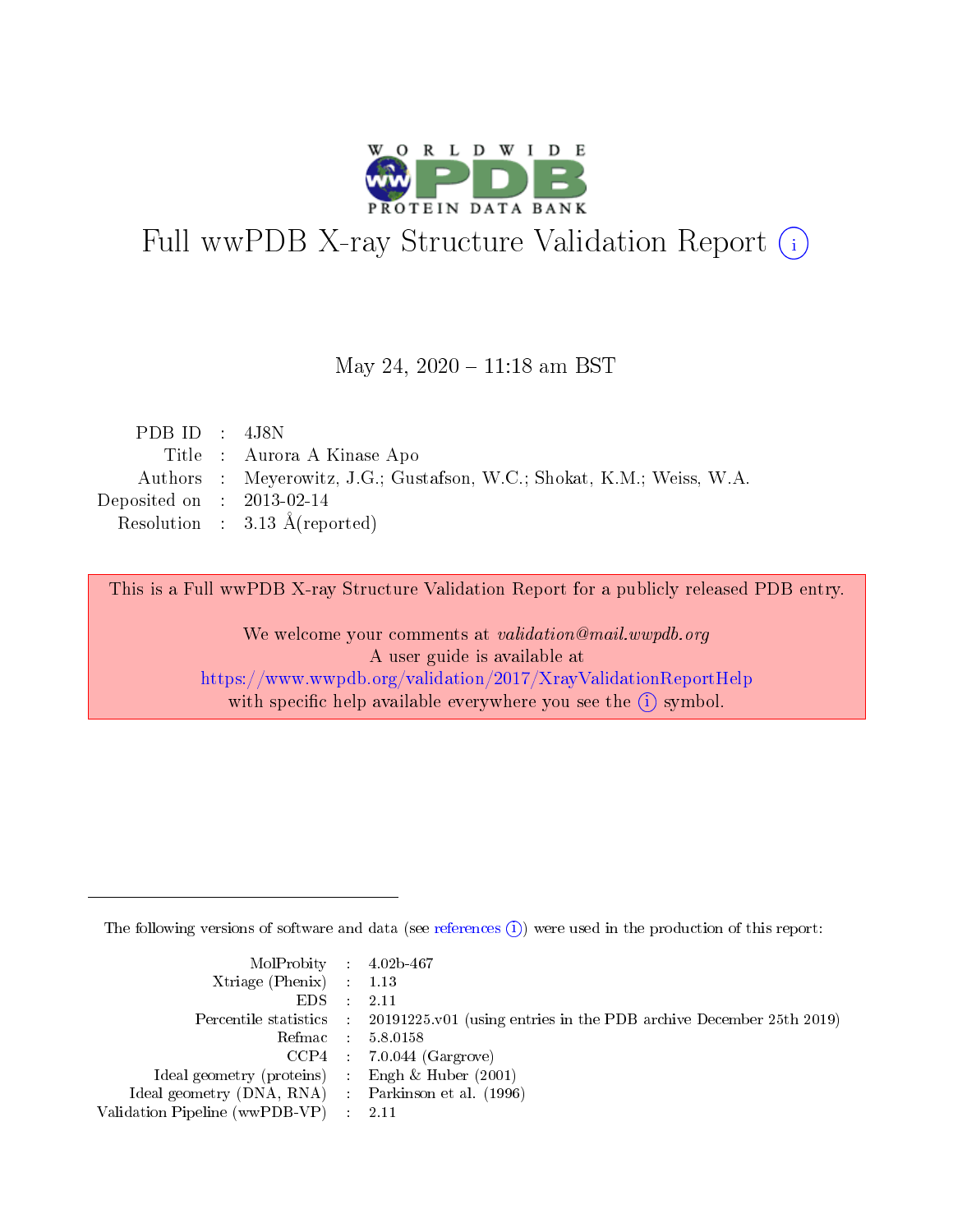

# Full wwPDB X-ray Structure Validation Report (i)

#### May 24,  $2020 - 11:18$  am BST

| PDB ID : $4J8N$                                                        |
|------------------------------------------------------------------------|
| Title : Aurora A Kinase Apo                                            |
| Authors : Meyerowitz, J.G.; Gustafson, W.C.; Shokat, K.M.; Weiss, W.A. |
| Deposited on : $2013-02-14$                                            |
| Resolution : $3.13 \text{ Å}$ (reported)                               |
|                                                                        |

This is a Full wwPDB X-ray Structure Validation Report for a publicly released PDB entry.

We welcome your comments at validation@mail.wwpdb.org A user guide is available at <https://www.wwpdb.org/validation/2017/XrayValidationReportHelp> with specific help available everywhere you see the  $(i)$  symbol.

The following versions of software and data (see [references](https://www.wwpdb.org/validation/2017/XrayValidationReportHelp#references)  $(i)$ ) were used in the production of this report:

| MolProbity : 4.02b-467                              |                                                                                                    |
|-----------------------------------------------------|----------------------------------------------------------------------------------------------------|
| Xtriage (Phenix) $: 1.13$                           |                                                                                                    |
| $EDS = 2.11$                                        |                                                                                                    |
|                                                     | Percentile statistics : $20191225 \times 01$ (using entries in the PDB archive December 25th 2019) |
|                                                     | Refmac : 5.8.0158                                                                                  |
|                                                     | $CCP4$ 7.0.044 (Gargrove)                                                                          |
| Ideal geometry (proteins) : Engh $\&$ Huber (2001)  |                                                                                                    |
| Ideal geometry (DNA, RNA) : Parkinson et al. (1996) |                                                                                                    |
| Validation Pipeline (wwPDB-VP) : 2.11               |                                                                                                    |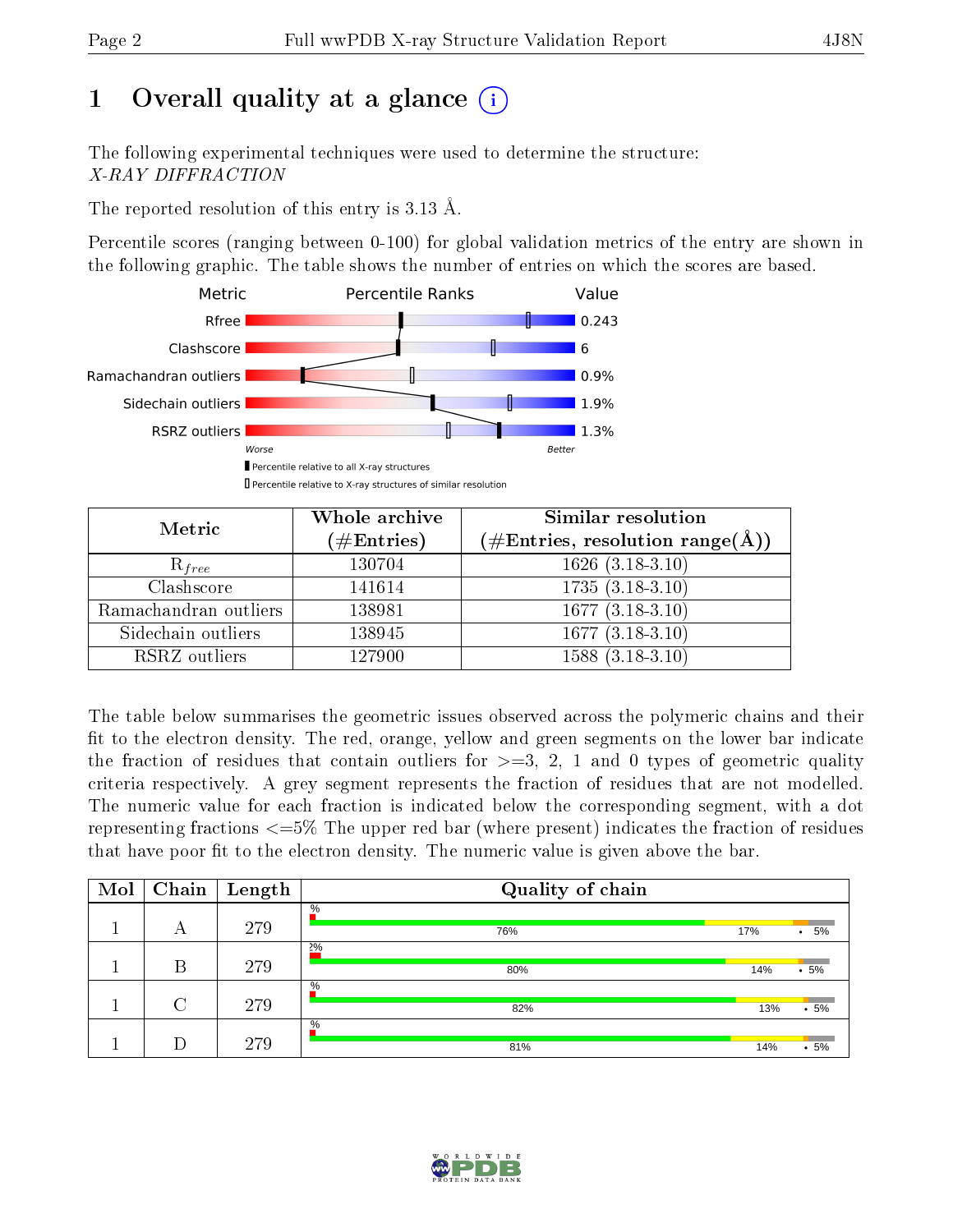# 1 [O](https://www.wwpdb.org/validation/2017/XrayValidationReportHelp#overall_quality)verall quality at a glance  $(i)$

The following experimental techniques were used to determine the structure: X-RAY DIFFRACTION

The reported resolution of this entry is 3.13 Å.

Percentile scores (ranging between 0-100) for global validation metrics of the entry are shown in the following graphic. The table shows the number of entries on which the scores are based.



| Metric                | Whole archive<br>$(\#\text{Entries})$ | Similar resolution<br>$(\#\text{Entries},\,\text{resolution}\,\,\text{range}(\textup{\AA}))$ |
|-----------------------|---------------------------------------|----------------------------------------------------------------------------------------------|
| $R_{free}$            | 130704                                | $1626$ $(3.\overline{18-3.10)}$                                                              |
| Clashscore            | 141614                                | $1735(3.18-3.10)$                                                                            |
| Ramachandran outliers | 138981                                | $\overline{1677 (3.18-3.10)}$                                                                |
| Sidechain outliers    | 138945                                | $1677(3.18-3.10)$                                                                            |
| RSRZ outliers         | 127900                                | $1588(3.18-3.10)$                                                                            |

The table below summarises the geometric issues observed across the polymeric chains and their fit to the electron density. The red, orange, yellow and green segments on the lower bar indicate the fraction of residues that contain outliers for  $>=3, 2, 1$  and 0 types of geometric quality criteria respectively. A grey segment represents the fraction of residues that are not modelled. The numeric value for each fraction is indicated below the corresponding segment, with a dot representing fractions  $\epsilon=5\%$  The upper red bar (where present) indicates the fraction of residues that have poor fit to the electron density. The numeric value is given above the bar.

| Mol | Chain  | $\vert$ Length | Quality of chain |     |                 |
|-----|--------|----------------|------------------|-----|-----------------|
|     | А      | 279            | $\%$<br>76%      | 17% | 5%<br>$\bullet$ |
|     | В      | 279            | 2%<br>80%        | 14% | .5%             |
|     | $\cap$ | 279            | $\%$<br>82%      | 13% | $.5\%$          |
|     |        | 279            | $\%$<br>81%      | 14% | $.5\%$          |

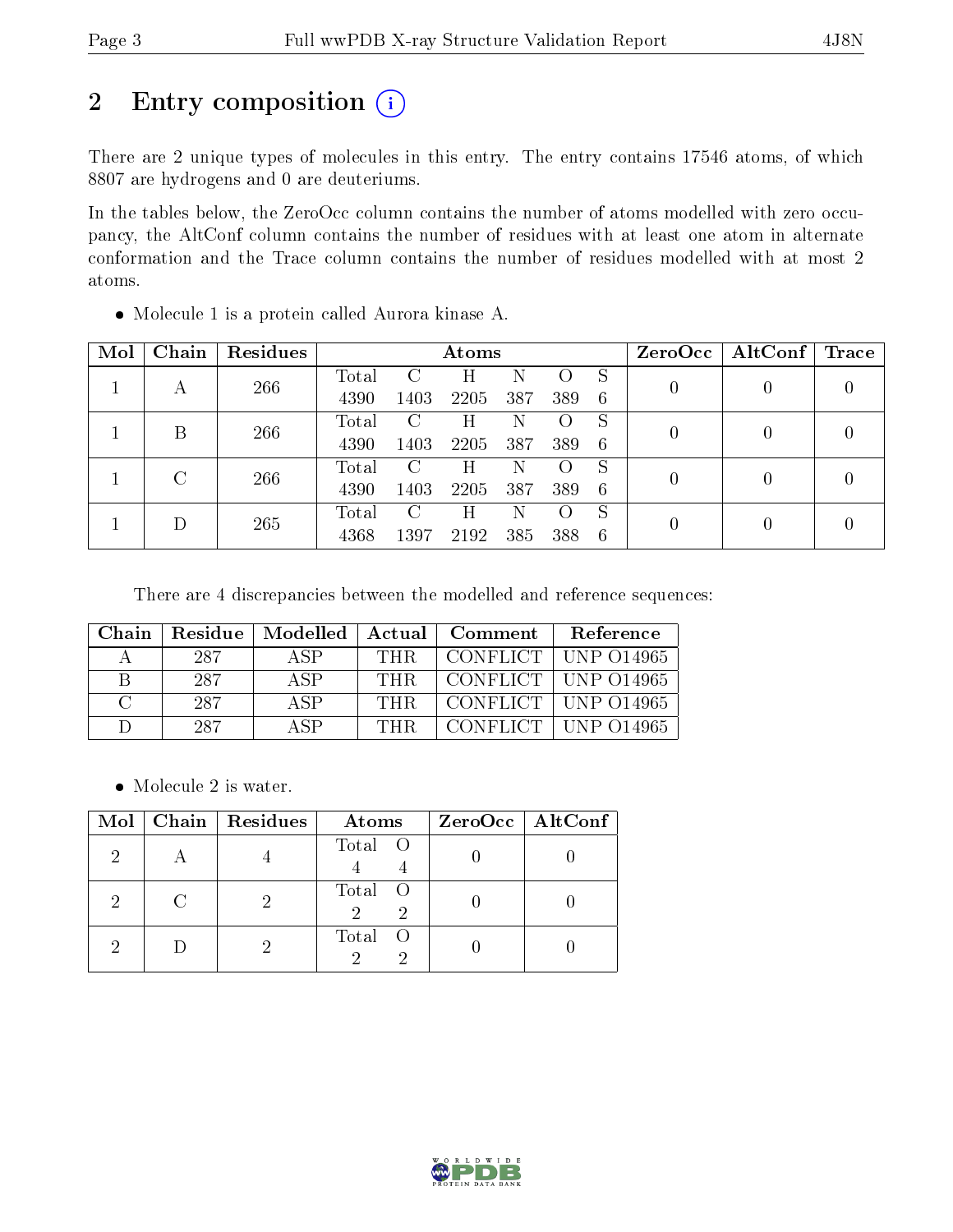# 2 Entry composition (i)

There are 2 unique types of molecules in this entry. The entry contains 17546 atoms, of which 8807 are hydrogens and 0 are deuteriums.

In the tables below, the ZeroOcc column contains the number of atoms modelled with zero occupancy, the AltConf column contains the number of residues with at least one atom in alternate conformation and the Trace column contains the number of residues modelled with at most 2 atoms.

| Mol | ${\rm Chain}$ | <b>Residues</b> |       | Atoms         |      |     |     | ZeroOcc | $\text{AltConf}$ Trace |   |                  |
|-----|---------------|-----------------|-------|---------------|------|-----|-----|---------|------------------------|---|------------------|
|     |               | 266             | Total | $\mathcal{C}$ | H    | N   |     | S       |                        | U | 0                |
|     | А             |                 | 4390  | 1403          | 2205 | 387 | 389 | -6      |                        |   |                  |
|     | B             | 266             | Total | $\mathcal{C}$ | Η    | N   |     | S       |                        |   | $\left( \right)$ |
|     |               |                 | 4390  | 1403          | 2205 | 387 | 389 | -6      |                        |   |                  |
|     | $\rm C$       | 266             | Total | $\mathcal{C}$ | Н    | N   |     | S       |                        | 0 | 0                |
|     |               |                 | 4390  | 1403          | 2205 | 387 | 389 | -6      |                        |   |                  |
|     |               | 265             | Total | $\rm C$       | Η    | N   |     | S       |                        |   | 0                |
|     |               |                 | 4368  | 1397          | 2192 | 385 | 388 | -6      |                        |   |                  |

Molecule 1 is a protein called Aurora kinase A.

There are 4 discrepancies between the modelled and reference sequences:

| Chain        |     | Residue   Modelled | $\overline{\phantom{a}}$ Actual | Comment | <b>Reference</b>                                           |
|--------------|-----|--------------------|---------------------------------|---------|------------------------------------------------------------|
| А            | 287 | A SP               | <b>THR</b>                      |         | CONFLICT   UNP 014965                                      |
| R            | 287 | A SP               | THR.                            |         | CONFLICT   UNP 014965                                      |
| $\cap$       | 287 | A SP               | THR                             |         | $\overline{CONFLICT}$ $\overline{CIV}$ $\overline{O14965}$ |
| $\mathbf{L}$ | 287 | A SP               | THR.                            |         | CONFLICT   UNP 014965                                      |

• Molecule 2 is water.

| Mol | $Chain   Residues$ | Atoms   | ZeroOcc   AltConf |
|-----|--------------------|---------|-------------------|
|     |                    | Total O |                   |
| റ   |                    | Total O |                   |
|     |                    | Total O |                   |

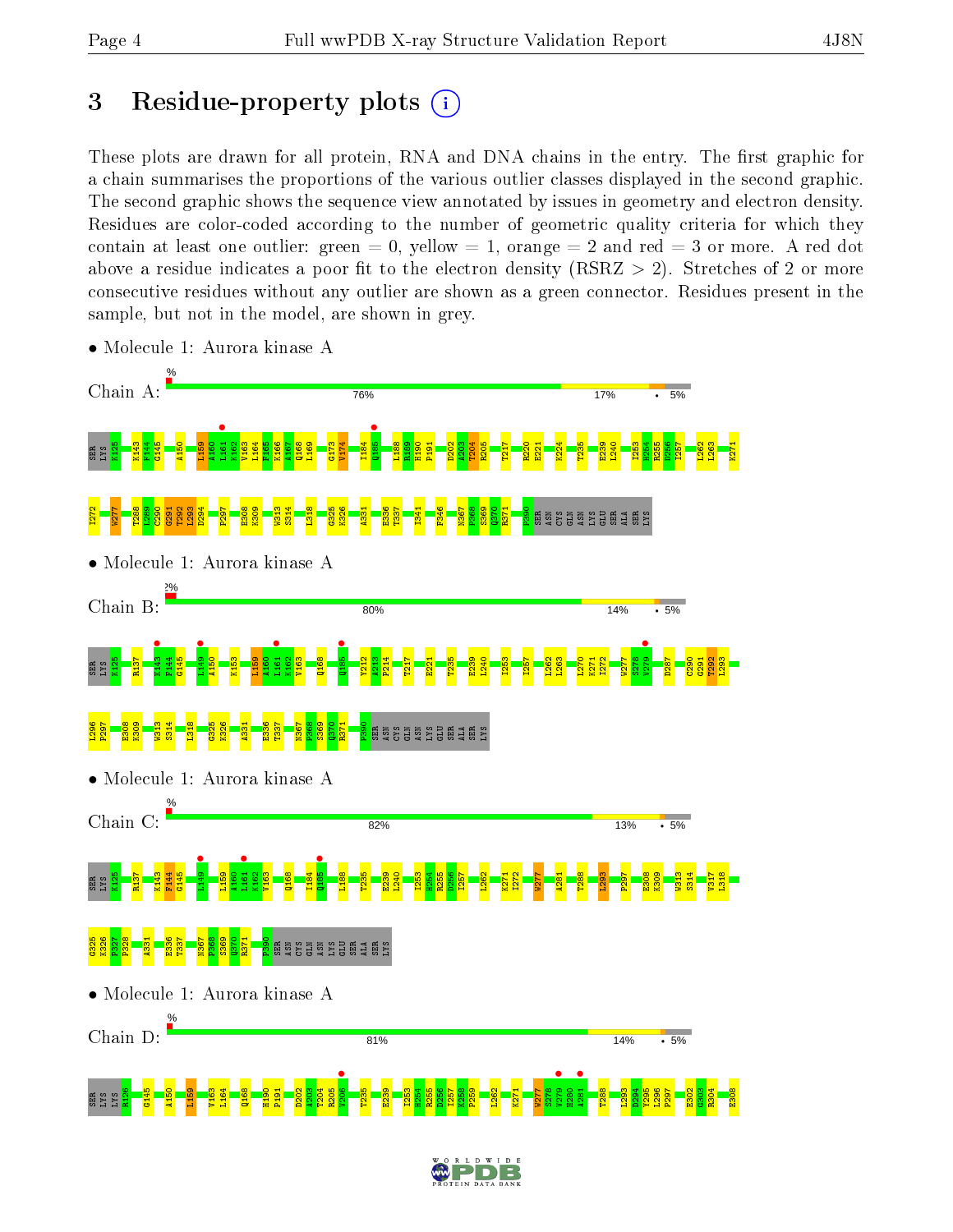# 3 Residue-property plots  $(i)$

These plots are drawn for all protein, RNA and DNA chains in the entry. The first graphic for a chain summarises the proportions of the various outlier classes displayed in the second graphic. The second graphic shows the sequence view annotated by issues in geometry and electron density. Residues are color-coded according to the number of geometric quality criteria for which they contain at least one outlier: green  $= 0$ , yellow  $= 1$ , orange  $= 2$  and red  $= 3$  or more. A red dot above a residue indicates a poor fit to the electron density (RSRZ  $> 2$ ). Stretches of 2 or more consecutive residues without any outlier are shown as a green connector. Residues present in the sample, but not in the model, are shown in grey.



• Molecule 1: Aurora kinase A

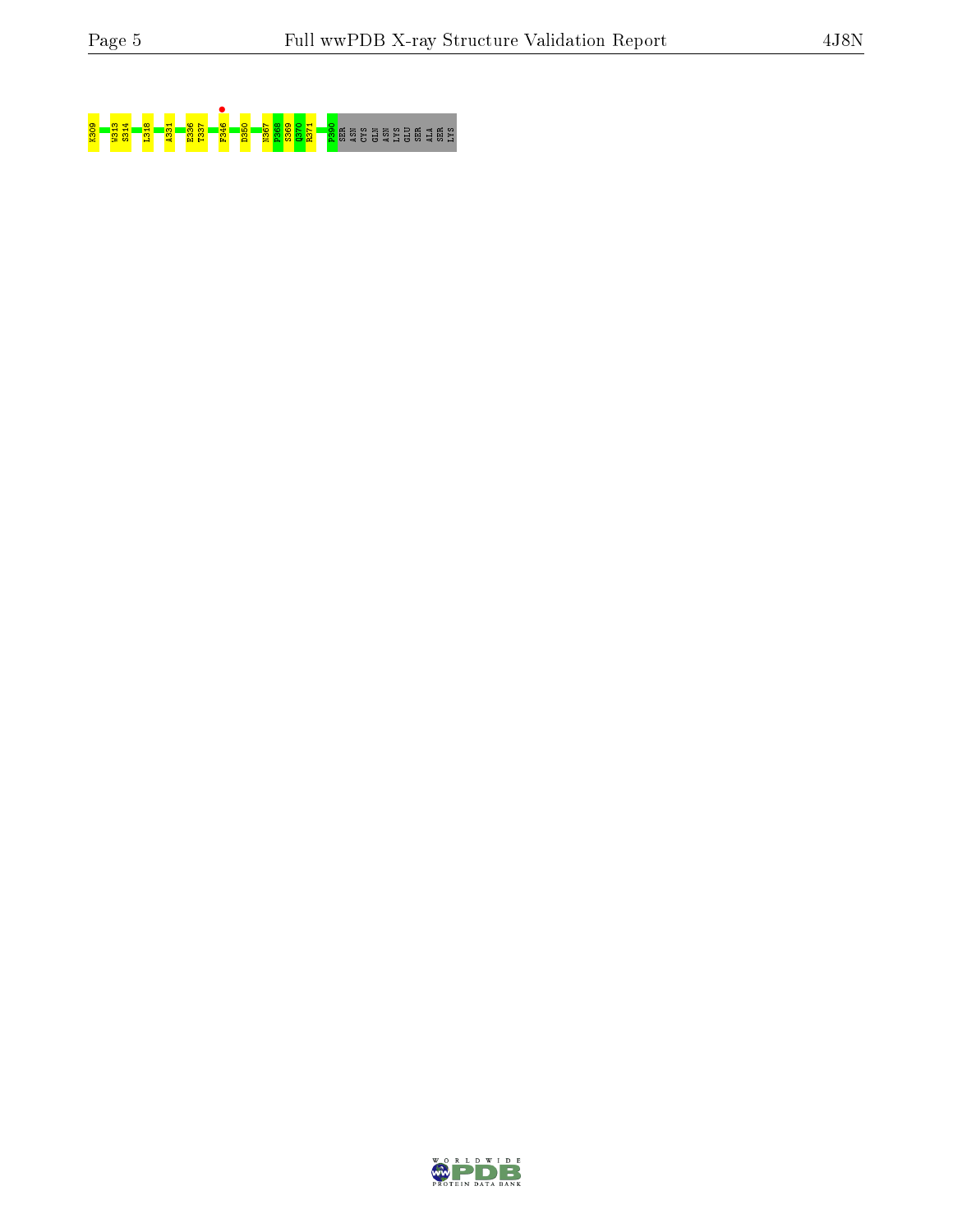

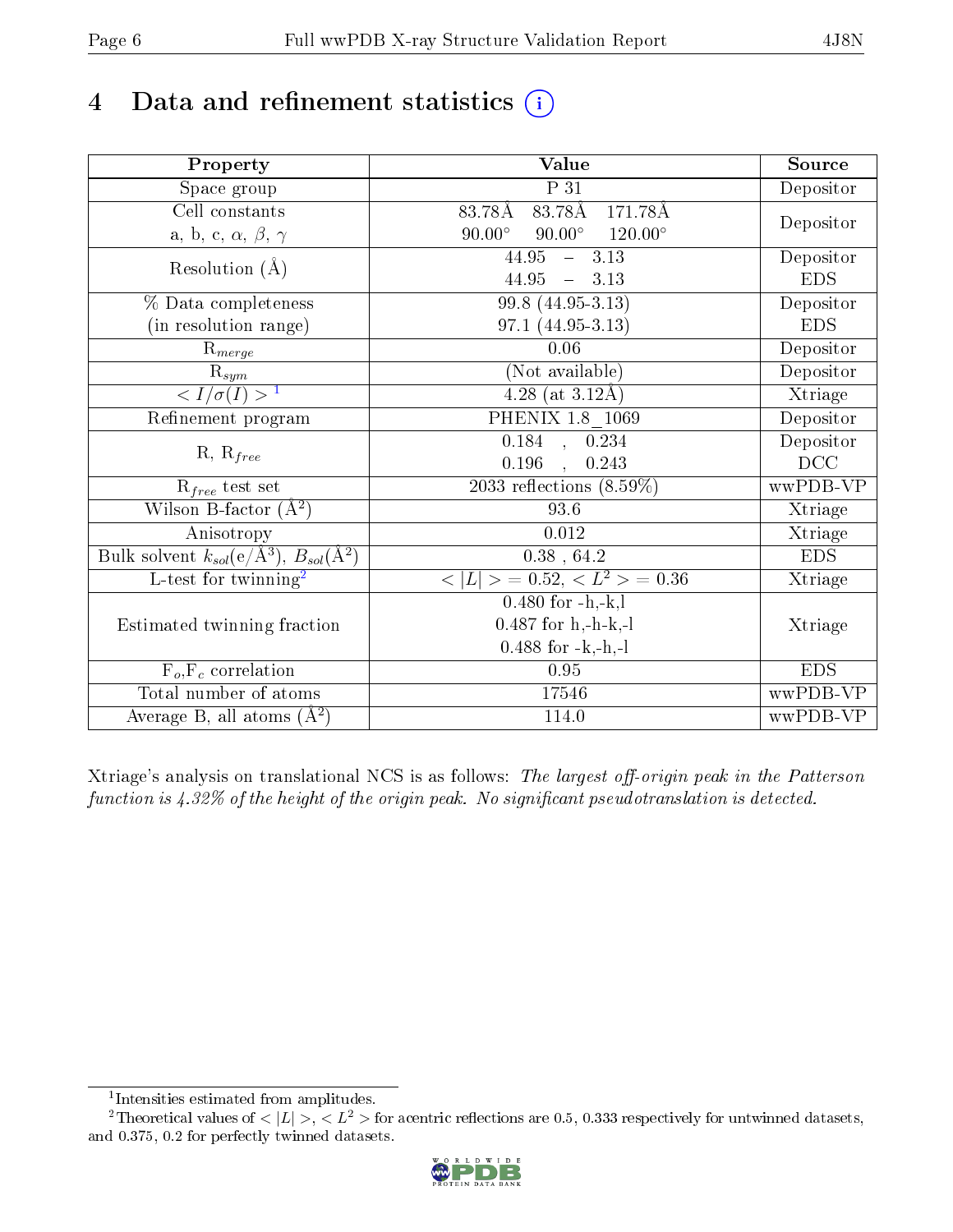# 4 Data and refinement statistics  $(i)$

| Property                                                             | Value                                             | Source     |
|----------------------------------------------------------------------|---------------------------------------------------|------------|
| Space group                                                          | $\overline{P}31$                                  | Depositor  |
| Cell constants                                                       | $83.78\text{\AA}$<br>171.78Å<br>83.78Å            |            |
| a, b, c, $\alpha$ , $\beta$ , $\gamma$                               | $90.00^{\circ}$ $120.00^{\circ}$<br>$90.00^\circ$ | Depositor  |
| Resolution $(\AA)$                                                   | $\overline{44.95}$ - 3.13                         | Depositor  |
|                                                                      | 44.95<br>$-3.13$                                  | <b>EDS</b> |
| % Data completeness                                                  | $99.8(44.95-3.13)$                                | Depositor  |
| (in resolution range)                                                | 97.1 (44.95-3.13)                                 | <b>EDS</b> |
| $R_{merge}$                                                          | 0.06                                              | Depositor  |
| $\overline{\mathbf{R}}_{\underline{sym}}$                            | (Not available)                                   | Depositor  |
| $\sqrt{I/\sigma(I)} > 1$                                             | $4.28$ (at 3.12Å)                                 | Xtriage    |
| Refinement program                                                   | PHENIX 1.8 1069                                   | Depositor  |
|                                                                      | $0.184$ , $0.234$                                 | Depositor  |
| $R, R_{free}$                                                        | 0.196<br>0.243<br>$\sim$                          | DCC        |
| $R_{free}$ test set                                                  | 2033 reflections $(8.59\%)$                       | wwPDB-VP   |
| Wilson B-factor $(A^2)$                                              | 93.6                                              | Xtriage    |
| Anisotropy                                                           | 0.012                                             | Xtriage    |
| Bulk solvent $k_{sol}(e/\mathring{A}^3)$ , $B_{sol}(\mathring{A}^2)$ | $0.38$ , 64.2                                     | <b>EDS</b> |
| L-test for twinning <sup>2</sup>                                     | $< L >$ = 0.52, $< L^2 >$ = 0.36                  | Xtriage    |
|                                                                      | $0.480$ for $-h,-k,l$                             |            |
| Estimated twinning fraction                                          | $0.487$ for h,-h-k,-l                             | Xtriage    |
|                                                                      | $0.488$ for $-k,-h,-l$                            |            |
| $F_o, F_c$ correlation                                               | 0.95                                              | <b>EDS</b> |
| Total number of atoms                                                | 17546                                             | wwPDB-VP   |
| Average B, all atoms $(A^2)$                                         | 114.0                                             | wwPDB-VP   |

Xtriage's analysis on translational NCS is as follows: The largest off-origin peak in the Patterson function is  $4.32\%$  of the height of the origin peak. No significant pseudotranslation is detected.

<sup>&</sup>lt;sup>2</sup>Theoretical values of  $\langle |L| \rangle$ ,  $\langle L^2 \rangle$  for acentric reflections are 0.5, 0.333 respectively for untwinned datasets, and 0.375, 0.2 for perfectly twinned datasets.



<span id="page-5-1"></span><span id="page-5-0"></span><sup>1</sup> Intensities estimated from amplitudes.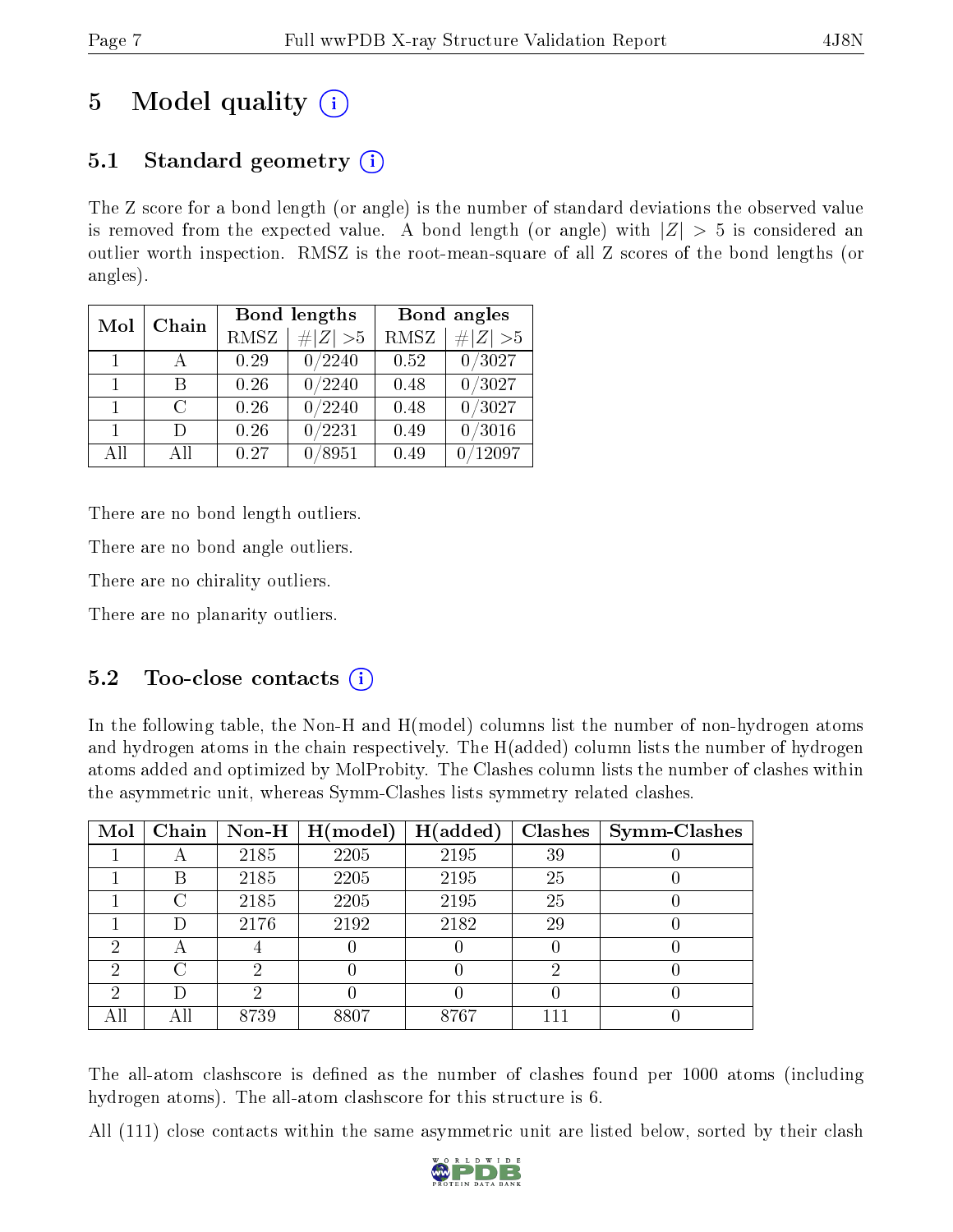# 5 Model quality  $(i)$

# 5.1 Standard geometry  $\overline{()}$

The Z score for a bond length (or angle) is the number of standard deviations the observed value is removed from the expected value. A bond length (or angle) with  $|Z| > 5$  is considered an outlier worth inspection. RMSZ is the root-mean-square of all Z scores of the bond lengths (or angles).

| Mol          | Chain  |      | Bond lengths    | Bond angles |             |
|--------------|--------|------|-----------------|-------------|-------------|
|              |        | RMSZ | $\# Z  > 5$     | RMSZ        | # $ Z  > 5$ |
| $\mathbf{1}$ |        | 0.29 | 0/2240          | 0.52        | 0/3027      |
| $\mathbf{1}$ | R      | 0.26 | 0/2240          | 0.48        | 0/3027      |
| $\mathbf{1}$ | $\cap$ | 0.26 | 0/2240          | 0.48        | 0/3027      |
| 1.           | $\Box$ | 0.26 | 0/2231          | 0.49        | /3016       |
| AH           | АH     | 0.27 | $^{\prime}8951$ | 0.49        | 12097       |

There are no bond length outliers.

There are no bond angle outliers.

There are no chirality outliers.

There are no planarity outliers.

### 5.2 Too-close contacts  $\overline{a}$

In the following table, the Non-H and H(model) columns list the number of non-hydrogen atoms and hydrogen atoms in the chain respectively. The H(added) column lists the number of hydrogen atoms added and optimized by MolProbity. The Clashes column lists the number of clashes within the asymmetric unit, whereas Symm-Clashes lists symmetry related clashes.

| Mol | Chain  | Non-H | H (model) | H(added) | <b>Clashes</b> | <b>Symm-Clashes</b> |
|-----|--------|-------|-----------|----------|----------------|---------------------|
|     | A      | 2185  | 2205      | 2195     | 39             |                     |
|     | Β      | 2185  | 2205      | 2195     | 25             |                     |
|     | C      | 2185  | 2205      | 2195     | 25             |                     |
|     | I)     | 2176  | 2192      | 2182     | 29             |                     |
| ച   | А      |       |           |          |                |                     |
| 2   | $\cap$ | ച     |           |          | ച              |                     |
| 2   | Ð      | ച     |           |          |                |                     |
|     | All    | 8739  | 8807      | 8767     | 111            |                     |

The all-atom clashscore is defined as the number of clashes found per 1000 atoms (including hydrogen atoms). The all-atom clashscore for this structure is 6.

All (111) close contacts within the same asymmetric unit are listed below, sorted by their clash

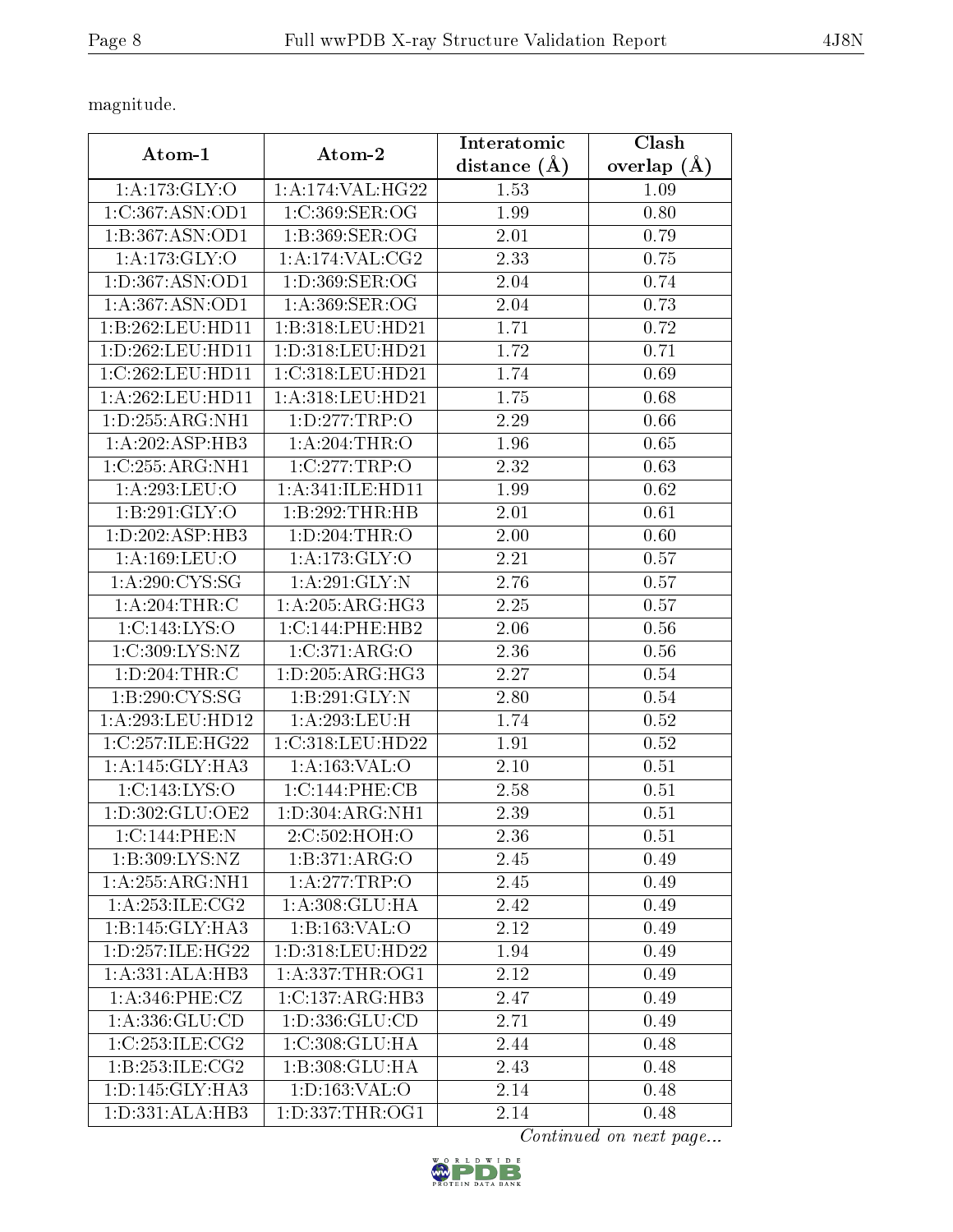magnitude.

| Atom-1                               | Atom-2              | Interatomic         | Clash           |
|--------------------------------------|---------------------|---------------------|-----------------|
|                                      |                     | $(\AA)$<br>distance | overlap $(\AA)$ |
| 1:A:173:GLY:O                        | 1:A:174:VAL:HG22    | 1.53                | 1.09            |
| 1:C:367:ASN:OD1                      | 1:C:369:SER:OG      | 1.99                | 0.80            |
| 1:B:367:ASN:OD1                      | 1:B:369:SER:OG      | 2.01                | 0.79            |
| 1: A:173: GLY:O                      | 1:A:174:VAL:CG2     | 2.33                | 0.75            |
| 1: D: 367: ASN: OD1                  | 1: D: 369: SER: OG  | 2.04                | 0.74            |
| 1: A:367: ASN:OD1                    | 1: A:369: SER:OG    | 2.04                | 0.73            |
| 1:B:262:LEU:HD11                     | 1:B:318:LEU:HD21    | 1.71                | 0.72            |
| 1: D: 262: LEU: HD11                 | 1:D:318:LEU:HD21    | 1.72                | 0.71            |
| 1:C:262:LEU:HD11                     | 1:C:318:LEU:HD21    | 1.74                | 0.69            |
| 1:A:262:LEU:HD11                     | 1:A:318:LEU:HD21    | 1.75                | 0.68            |
| 1: D: 255: ARG: NH1                  | 1: D: 277: TRP: O   | 2.29                | 0.66            |
| 1:A:202:ASP:HB3                      | 1: A:204:THR:O      | 1.96                | 0.65            |
| 1:C:255:ARG:NH1                      | 1:C:277:TRP:O       | 2.32                | 0.63            |
| 1:A:293:LEU:O                        | 1: A:341: ILE: HDI1 | 1.99                | 0.62            |
| 1: B:291: GLY:O                      | 1:B:292:THR:HB      | 2.01                | 0.61            |
| 1: D: 202: ASP: HB3                  | 1: D:204:THR:O      | 2.00                | 0.60            |
| 1:A:169:LEU:O                        | 1: A:173: GLY:O     | 2.21                | 0.57            |
| 1: A:290:CYS:SG                      | 1:A:291:GLY:N       | 2.76                | 0.57            |
| 1: A:204:THR:C                       | 1:A:205:ARG:HG3     | 2.25                | 0.57            |
| 1:C:143:LYS:O                        | 1:C:144:PHE:HB2     | 2.06                | 0.56            |
| 1:C:309:LYS:NZ                       | 1:C:371:ARG:O       | 2.36                | 0.56            |
| $1: D: 204: \overline{\text{THR}:C}$ | 1: D: 205: ARG: HG3 | 2.27                | 0.54            |
| 1: B:290: CYS:SG                     | 1:B:291:GLY:N       | 2.80                | 0.54            |
| 1: A:293:LEU:HD12                    | 1:A:293:LEU:H       | 1.74                | 0.52            |
| 1:C:257:ILE:HG22                     | 1:C:318:LEU:HD22    | 1.91                | 0.52            |
| 1: A:145: GLY:HA3                    | 1:A:163:VAL:O       | 2.10                | 0.51            |
| 1:C:143:LYS:O                        | 1:C:144:PHE:CB      | 2.58                | 0.51            |
| 1: D: 302: GLU: OE2                  | 1:D:304:ARG:NH1     | 2.39                | 0.51            |
| 1:C:144:PHE:N                        | 2:C:502:HOH:O       | 2.36                | 0.51            |
| 1:B:309:LYS:NZ                       | 1: B:371: ARG:O     | 2.45                | 0.49            |
| 1:A:255:ARG:NH1                      | 1:A:277:TRP:O       | 2.45                | 0.49            |
| 1: A:253: ILE: CG2                   | 1:A:308:GLU:HA      | 2.42                | 0.49            |
| 1:B:145:GLY:HA3                      | 1:B:163:VAL:O       | 2.12                | 0.49            |
| 1: D: 257: ILE: HG22                 | 1:D:318:LEU:HD22    | 1.94                | 0.49            |
| 1:A:331:ALA:HB3                      | 1: A: 337: THR: OG1 | 2.12                | 0.49            |
| 1: A:346: PHE: CZ                    | 1:C:137:ARG:HB3     | 2.47                | 0.49            |
| 1: A: 336: GLU: CD                   | 1:D:336:GLU:CD      | 2.71                | 0.49            |
| 1:C:253:ILE:CG2                      | 1:C:308:GLU:HA      | 2.44                | 0.48            |
| 1:B:253:ILE:CG2                      | 1:B:308:GLU:HA      | 2.43                | 0.48            |
| 1: D: 145: GLY: HA3                  | 1: D: 163: VAL: O   | 2.14                | 0.48            |
| 1:D:331:ALA:HB3                      | 1: D: 337: THR: OG1 | 2.14                | 0.48            |

Continued on next page...

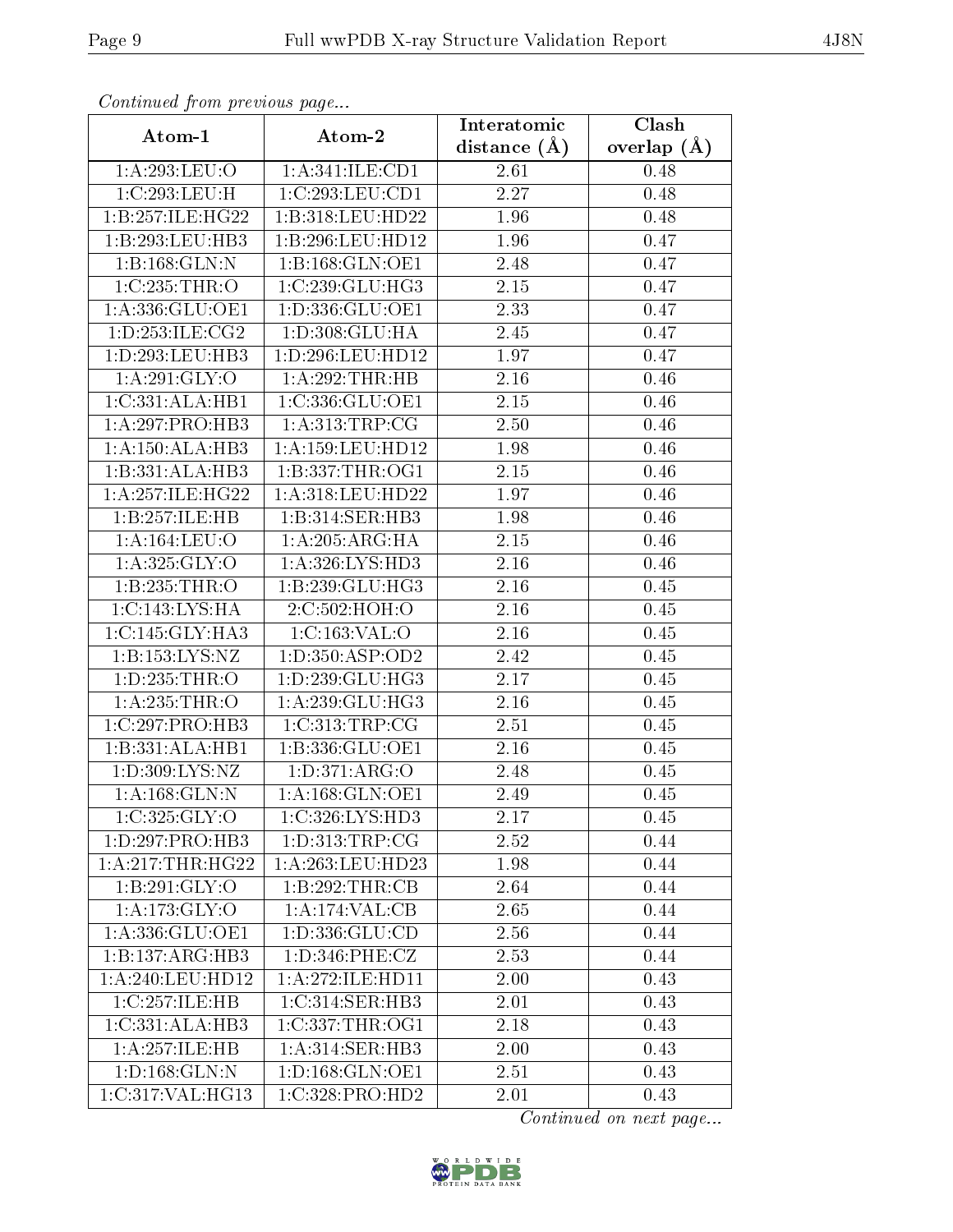| Communica from precious page |                      | Interatomic    | Clash         |
|------------------------------|----------------------|----------------|---------------|
| Atom-1                       | Atom-2               | distance $(A)$ | overlap $(A)$ |
| 1:A:293:LEU:O                | 1: A:341: ILE: CD1   | 2.61           | 0.48          |
| 1:C:293:LEU:H                | 1:C:293:LEU:CD1      | 2.27           | 0.48          |
| 1:B:257:ILE:HG22             | 1:B:318:LEU:HD22     | 1.96           | 0.48          |
| 1:B:293:LEU:HB3              | 1:B:296:LEU:HD12     | 1.96           | 0.47          |
| 1:B:168:GLN:N                | 1:B:168:GLN:OE1      | 2.48           | 0.47          |
| 1:C:235:THR:O                | 1:C:239:CLU:HG3      | 2.15           | 0.47          |
| 1: A: 336: GLU: OE1          | 1: D: 336: GLU: OE1  | 2.33           | 0.47          |
| 1: D: 253: ILE: CG2          | 1: D: 308: GLU: HA   | 2.45           | 0.47          |
| 1:D:293:LEU:HB3              | 1:D:296:LEU:HD12     | 1.97           | 0.47          |
| 1: A:291: GLY:O              | 1:A:292:THR:HB       | 2.16           | 0.46          |
| 1:C:331:ALA:HB1              | 1:C:336:GLU:OE1      | 2.15           | 0.46          |
| 1: A:297: PRO:HB3            | 1: A: 313: TRP: CG   | 2.50           | 0.46          |
| 1:A:150:ALA:HB3              | 1: A: 159: LEU: HD12 | 1.98           | 0.46          |
| 1:B:331:ALA:HB3              | 1:B:337:THR:OG1      | 2.15           | 0.46          |
| 1:A:257:ILE:HG22             | 1:A:318:LEU:HD22     | 1.97           | 0.46          |
| 1:B:257:ILE:HB               | 1:B:314:SER:HB3      | 1.98           | 0.46          |
| 1:A:164:LEU:O                | 1:A:205:ARG:HA       | 2.15           | 0.46          |
| 1: A:325: GLY:O              | 1: A:326: LYS: HD3   | 2.16           | 0.46          |
| 1:B:235:THR:O                | 1:B:239:GLU:HG3      | 2.16           | 0.45          |
| 1:C:143:LYS:HA               | 2:C:502:HOH:O        | 2.16           | 0.45          |
| 1:C:145:GLY:HA3              | 1:C:163:VAL:O        | 2.16           | 0.45          |
| 1: B: 153: LYS: NZ           | 1:D:350:ASP:OD2      | 2.42           | 0.45          |
| 1: D: 235: THR:O             | 1: D: 239: GLU: HG3  | 2.17           | 0.45          |
| 1:A:235:THR:O                | 1:A:239:GLU:HG3      | 2.16           | 0.45          |
| 1:C:297:PRO:HB3              | 1:C:313:TRP:CG       | 2.51           | 0.45          |
| 1:B:331:ALA:HB1              | 1:B:336:GLU:OE1      | 2.16           | 0.45          |
| 1:D:309:LYS:NZ               | 1: D: 371: ARG: O    | 2.48           | 0.45          |
| 1: A: 168: GLN:N             | 1: A:168: GLN:OE1    | 2.49           | 0.45          |
| 1:C:325:GLY:O                | 1:C:326:LYS:HD3      | 2.17           | 0.45          |
| 1:D:297:PRO:HB3              | 1: D: 313: TRP: CG   | 2.52           | 0.44          |
| 1: A:217:THR:HG22            | 1:A:263:LEU:HD23     | 1.98           | 0.44          |
| 1:B:291:GLY:O                | 1:B:292:THR:CB       | 2.64           | 0.44          |
| 1:A:173:GLY:O                | 1:A:174:VAL:CB       | 2.65           | 0.44          |
| 1:A:336:GLU:OE1              | 1:D:336:GLU:CD       | 2.56           | 0.44          |
| 1:B:137:ARG:HB3              | 1: D: 346: PHE: CZ   | 2.53           | 0.44          |
| 1:A:240:LEU:HD12             | 1: A:272: ILE: HD11  | 2.00           | 0.43          |
| 1:C:257:ILE:HB               | 1:C:314:SER:HB3      | 2.01           | 0.43          |
| 1:C:331:ALA:HB3              | 1:C:337:THR:OG1      | 2.18           | 0.43          |
| 1:A:257:ILE:HB               | 1: A:314: SER: HB3   | 2.00           | 0.43          |
| 1: D: 168: GLN: N            | 1: D: 168: GLN: OE1  | 2.51           | 0.43          |
| 1:C:317:VAL:HG13             | 1:C:328:PRO:HD2      | 2.01           | 0.43          |

Continued from previous page.

Continued on next page...

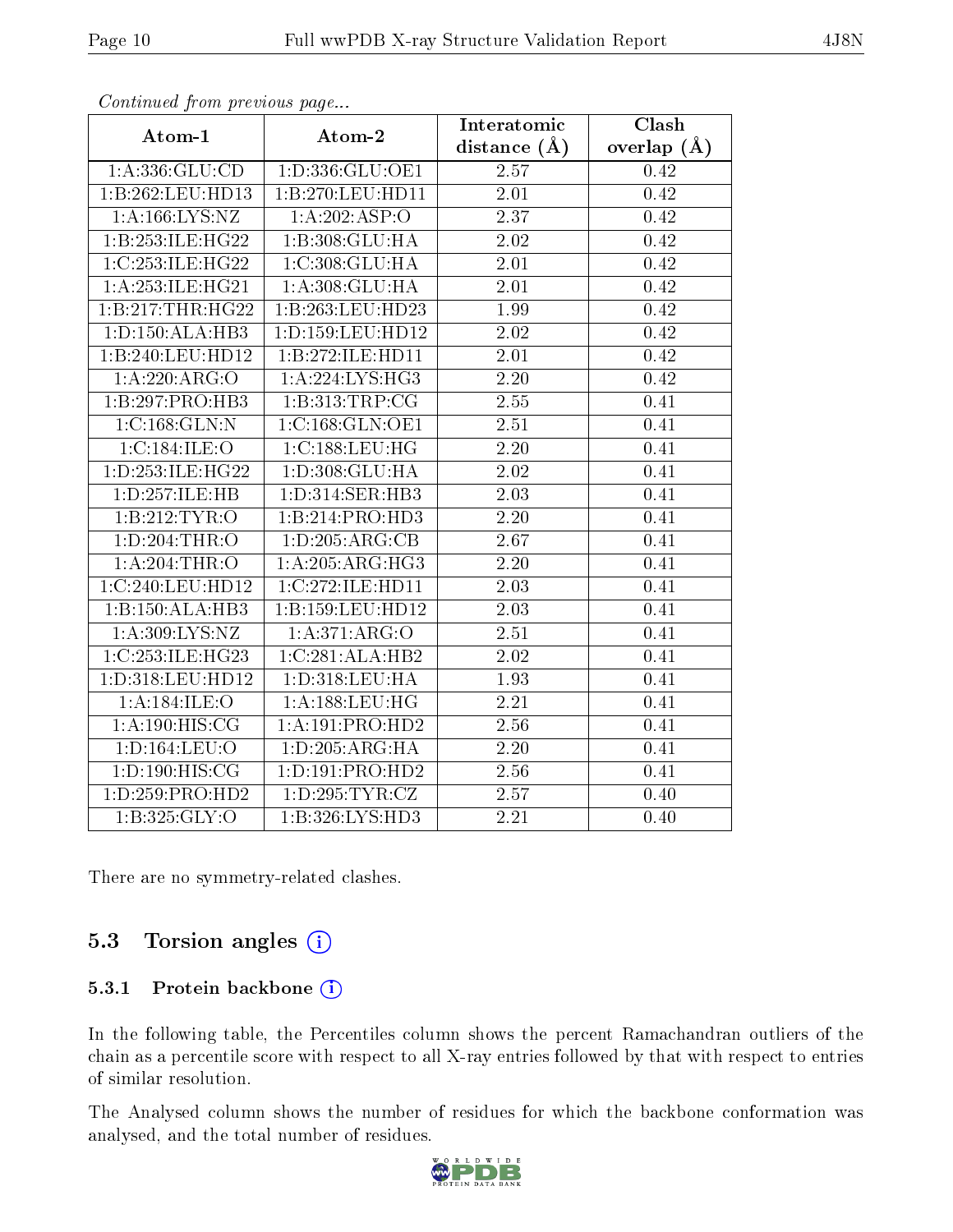| $P$ $\sim$ $P$ $\sim$ $\sim$ $P$ $\sim$ $\sim$ $P$ $\sim$ $\sim$ $P$ $\sim$ $\sim$ $\sim$ $\sim$ |                                    | Interatomic       | <b>Clash</b>      |
|--------------------------------------------------------------------------------------------------|------------------------------------|-------------------|-------------------|
| Atom-1                                                                                           | Atom-2                             | distance $(A)$    | overlap $(A)$     |
|                                                                                                  | $1:A:336:GLU:CD$ $1:D:336:GLU:OE1$ | 2.57              | $\overline{0.42}$ |
| 1:B:262:LEU:HD13                                                                                 | 1:B:270:LEU:HD11                   | 2.01              | 0.42              |
| 1:A:166:LYS:NZ                                                                                   | 1:A:202:ASP:O                      | 2.37              | 0.42              |
| 1:B:253:ILE:HG22                                                                                 | 1:B:308:GLU:HA                     | 2.02              | 0.42              |
| 1:C:253:ILE:HG22                                                                                 | 1:C:308:GLU:HA                     | 2.01              | 0.42              |
| 1: A: 253: ILE: HG21                                                                             | 1:A:308:GLU:HA                     | 2.01              | 0.42              |
| 1:B:217:THR:HG22                                                                                 | 1:B:263:LEU:HD23                   | 1.99              | 0.42              |
| 1: D: 150: ALA: HB3                                                                              | 1:D:159:LEU:HD12                   | 2.02              | 0.42              |
| 1:B:240:LEU:HD12                                                                                 | 1:B:272:ILE:HD11                   | $\overline{2.01}$ | 0.42              |
| 1:A:220:ARG:O                                                                                    | 1: A:224:LYS:HG3                   | 2.20              | 0.42              |
| 1:B:297:PRO:HB3                                                                                  | 1:B:313:TRP:CG                     | 2.55              | 0.41              |
| 1:C:168:GLN:N                                                                                    | 1:C:168:GLN:OE1                    | 2.51              | 0.41              |
| 1:C:184:ILE:O                                                                                    | 1:C:188:LEU:HG                     | 2.20              | 0.41              |
| 1: D: 253: ILE: HG22                                                                             | 1:D:308:GLU:HA                     | 2.02              | 0.41              |
| 1:D:257:ILE:HB                                                                                   | 1: D: 314: SER: HB3                | 2.03              | 0.41              |
| 1:B:212:TYR:O                                                                                    | 1:B:214:PRO:HD3                    | 2.20              | 0.41              |
| 1: D:204:THR:O                                                                                   | 1: D: 205: ARG: CB                 | 2.67              | 0.41              |
| 1: A:204:THR:O                                                                                   | 1:A:205:ARG:HG3                    | 2.20              | 0.41              |
| 1:C:240:LEU:HD12                                                                                 | 1:C:272:ILE:HD11                   | 2.03              | 0.41              |
| 1:B:150:ALA:HB3                                                                                  | 1:B:159:LEU:HD12                   | 2.03              | 0.41              |
| 1: A:309: LYS: NZ                                                                                | 1:A:371:ARG:O                      | 2.51              | 0.41              |
| 1:C:253:ILE:HG23                                                                                 | 1:C:281:ALA:HB2                    | 2.02              | 0.41              |
| 1:D:318:LEU:HD12                                                                                 | 1: D: 318: LEU: HA                 | 1.93              | 0.41              |
| 1: A:184: ILE: O                                                                                 | 1: A: 188: LEU: HG                 | 2.21              | 0.41              |
| 1: A: 190: HIS: CG                                                                               | 1:A:191:PRO:HD2                    | 2.56              | 0.41              |
| 1: D: 164: LEU: O                                                                                | 1: D: 205: ARG: HA                 | $\overline{2.20}$ | 0.41              |
| 1: D: 190: HIS: CG                                                                               | 1:D:191:PRO:HD2                    | 2.56              | 0.41              |
| 1: D: 259: PRO: HD2                                                                              | 1: D: 295: TYR: CZ                 | 2.57              | 0.40              |
| 1:B:325:GLY:O                                                                                    | 1:B:326:LYS:HD3                    | 2.21              | 0.40              |

Continued from previous page...

There are no symmetry-related clashes.

### 5.3 Torsion angles (i)

#### 5.3.1 Protein backbone (i)

In the following table, the Percentiles column shows the percent Ramachandran outliers of the chain as a percentile score with respect to all X-ray entries followed by that with respect to entries of similar resolution.

The Analysed column shows the number of residues for which the backbone conformation was analysed, and the total number of residues.



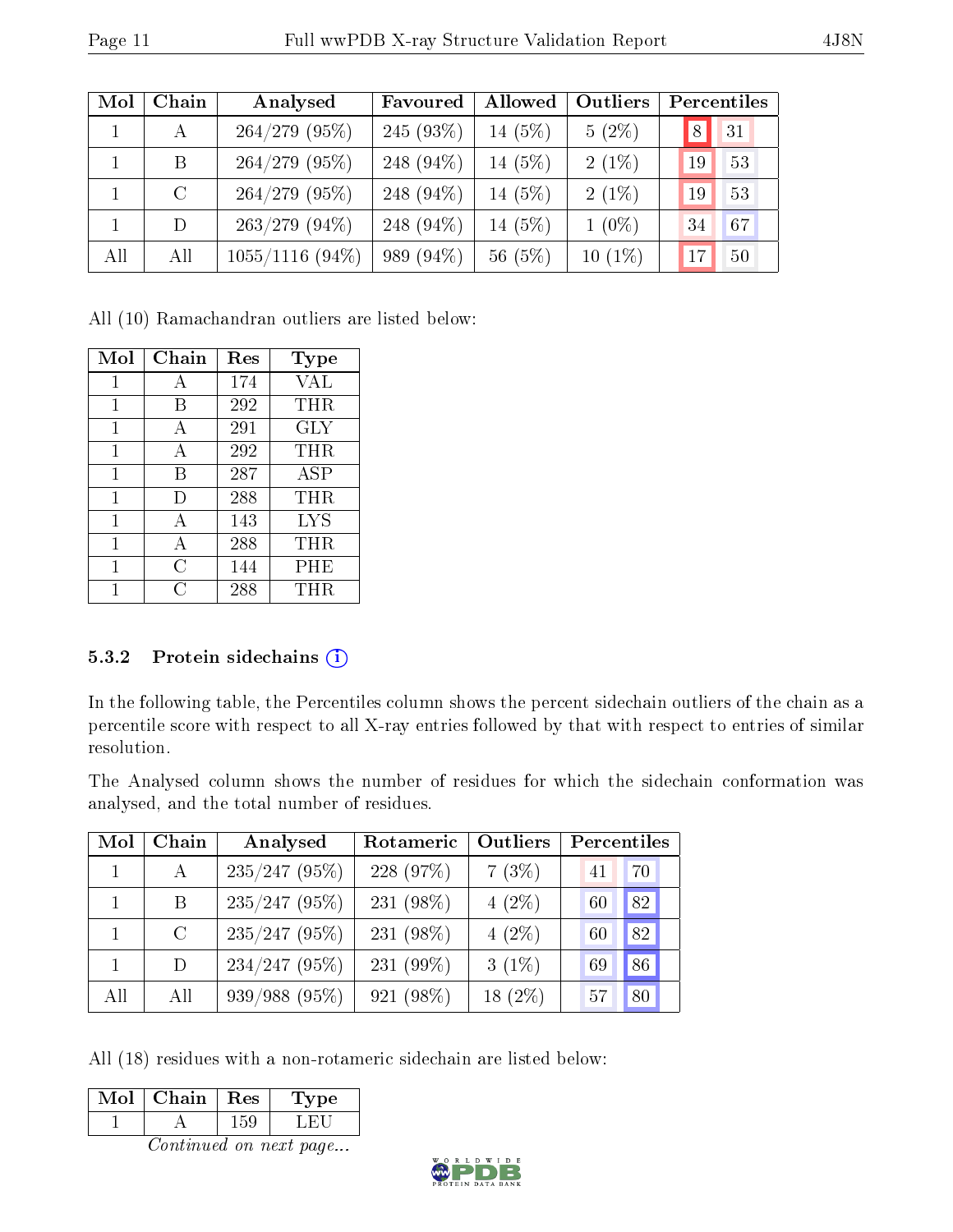| Mol | Chain   | Analysed          | Favoured     | Allowed   | Outliers  | Percentiles        |
|-----|---------|-------------------|--------------|-----------|-----------|--------------------|
|     | A       | $264/279$ (95%)   | $245(93\%)$  | $14(5\%)$ | $5(2\%)$  | 31<br>$^{\prime}8$ |
|     | B       | $264/279$ (95%)   | 248 $(94\%)$ | 14 $(5%)$ | $2(1\%)$  | 53<br>19           |
|     | $\rm C$ | $264/279$ (95%)   | 248 $(94\%)$ | 14 $(5%)$ | $2(1\%)$  | 53<br>19           |
|     | D       | $263/279$ (94\%)  | 248 $(94\%)$ | 14 (5%)   | $1(0\%)$  | 34<br>67           |
| All | All     | $1055/1116$ (94%) | 989 (94\%)   | 56(5%)    | $10(1\%)$ | 50<br>17           |

All (10) Ramachandran outliers are listed below:

| Mol | Chain | Res | Type       |
|-----|-------|-----|------------|
| 1   | А     | 174 | VAL        |
| 1   | В     | 292 | THR        |
| 1   | A     | 291 | GLY        |
| 1   | А     | 292 | THR        |
| 1   | В     | 287 | <b>ASP</b> |
| 1   | D     | 288 | THR        |
| 1   | A     | 143 | LYS        |
| 1   | A     | 288 | THR        |
| 1   | С     | 144 | PHE        |
|     | C     | 288 | THR        |

#### 5.3.2 Protein sidechains (i)

In the following table, the Percentiles column shows the percent sidechain outliers of the chain as a percentile score with respect to all X-ray entries followed by that with respect to entries of similar resolution.

The Analysed column shows the number of residues for which the sidechain conformation was analysed, and the total number of residues.

| Mol | Chain   | Analysed        | Rotameric | Outliers  | Percentiles |
|-----|---------|-----------------|-----------|-----------|-------------|
|     | A       | $235/247$ (95%) | 228 (97%) | 7(3%)     | 70<br>41    |
|     | Β       | $235/247$ (95%) | 231 (98%) | $4(2\%)$  | 82<br>60    |
|     | $\rm C$ | $235/247$ (95%) | 231 (98%) | $4(2\%)$  | 82<br>60    |
|     | D.      | $234/247$ (95%) | 231 (99%) | $3(1\%)$  | 86<br>69    |
| All | All     | 939/988 (95%)   | 921 (98%) | $18(2\%)$ | 80<br>57    |

All (18) residues with a non-rotameric sidechain are listed below:

| Mol | Chain | $\parallel$ Res | тре |
|-----|-------|-----------------|-----|
|     |       |                 |     |

Continued on next page...

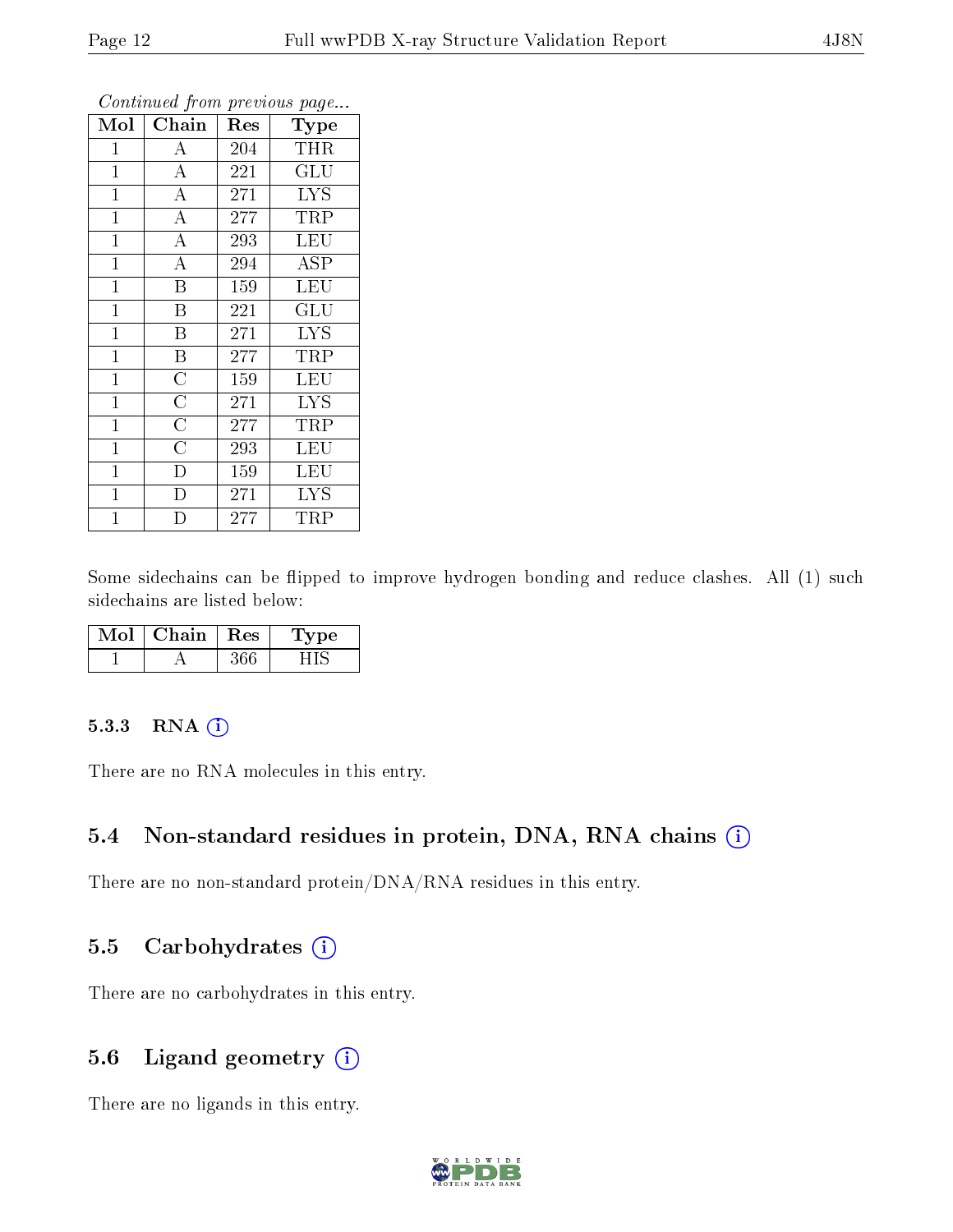| Mol            | Chain                   | Res | Type       |
|----------------|-------------------------|-----|------------|
| 1              | А                       | 204 | <b>THR</b> |
| $\mathbf{1}$   | $\boldsymbol{A}$        | 221 | GLU        |
| $\mathbf{1}$   | $\overline{\rm A}$      | 271 | <b>LYS</b> |
| $\mathbf 1$    | $\overline{\rm A}$      | 277 | TRP        |
| $\mathbf{1}$   | $\overline{\rm A}$      | 293 | <b>LEU</b> |
| $\mathbf{1}$   | $\overline{A}$          | 294 | ASP        |
| $\mathbf{1}$   | $\overline{\mathrm{B}}$ | 159 | <b>LEU</b> |
| $\mathbf{1}$   | B                       | 221 | GLU        |
| $\mathbf{1}$   | $\, {\bf B}$            | 271 | <b>LYS</b> |
| $\mathbf{1}$   | $\overline{\mathbf{B}}$ | 277 | TRP        |
| $\overline{1}$ | $\overline{\rm C}$      | 159 | <b>LEU</b> |
| $\mathbf{1}$   | $\overline{\rm C}$      | 271 | <b>LYS</b> |
| $\mathbf{1}$   | $\overline{\rm C}$      | 277 | TRP        |
| $\mathbf 1$    | $\overline{C}$          | 293 | <b>LEU</b> |
| $\mathbf 1$    | D                       | 159 | LEU        |
| $\mathbf 1$    | D                       | 271 | <b>LYS</b> |
| $\overline{1}$ | D                       | 277 | TRP        |

Continued from previous page.

Some sidechains can be flipped to improve hydrogen bonding and reduce clashes. All (1) such sidechains are listed below:

| Mol | Chain | $\perp$ Res | 1 vpe |
|-----|-------|-------------|-------|
|     |       |             |       |

#### 5.3.3 RNA (i)

There are no RNA molecules in this entry.

### 5.4 Non-standard residues in protein, DNA, RNA chains (i)

There are no non-standard protein/DNA/RNA residues in this entry.

### 5.5 Carbohydrates (i)

There are no carbohydrates in this entry.

### 5.6 Ligand geometry (i)

There are no ligands in this entry.

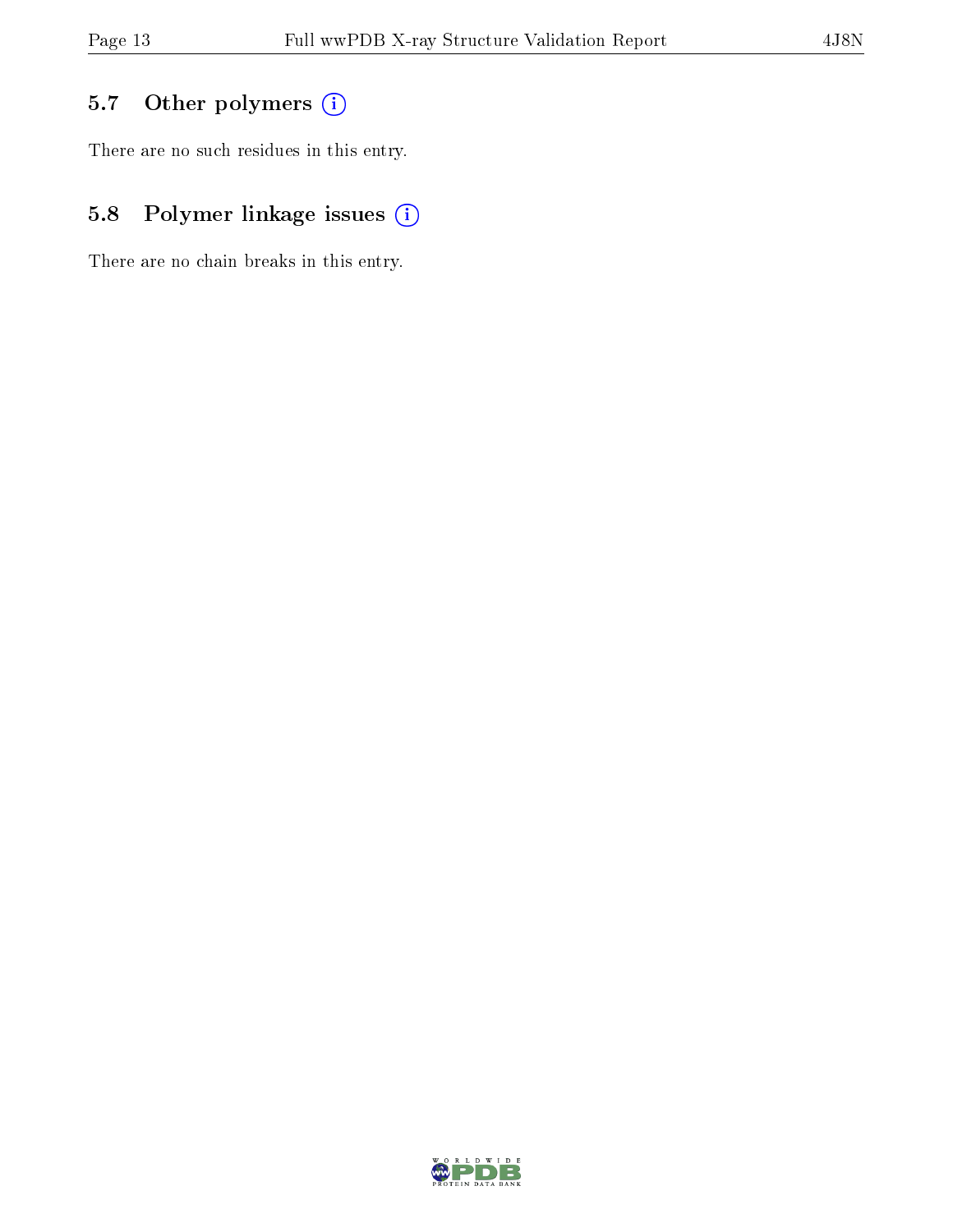# 5.7 [O](https://www.wwpdb.org/validation/2017/XrayValidationReportHelp#nonstandard_residues_and_ligands)ther polymers (i)

There are no such residues in this entry.

# 5.8 Polymer linkage issues (i)

There are no chain breaks in this entry.

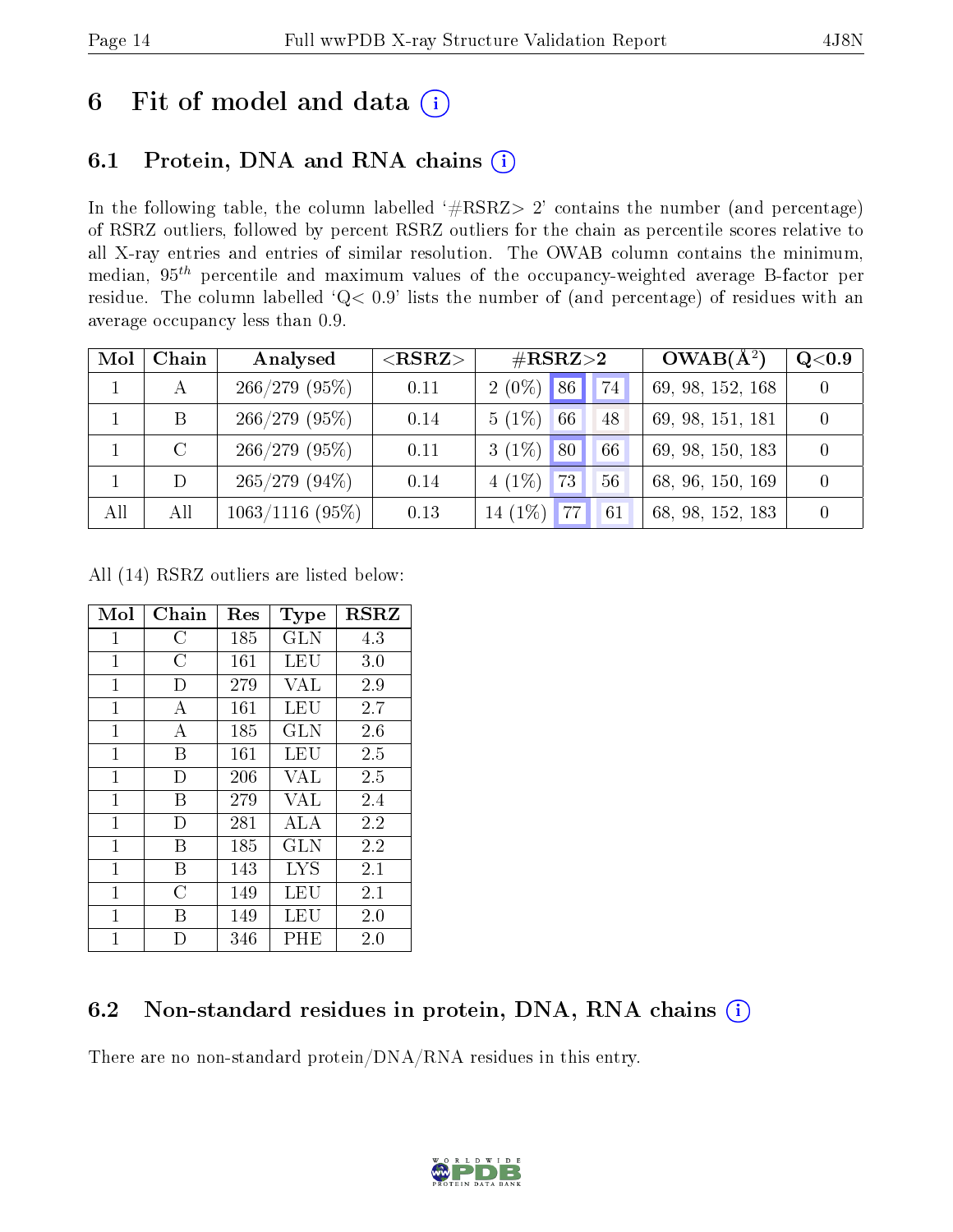# 6 Fit of model and data  $(i)$

# 6.1 Protein, DNA and RNA chains  $(i)$

In the following table, the column labelled  $#RSRZ> 2'$  contains the number (and percentage) of RSRZ outliers, followed by percent RSRZ outliers for the chain as percentile scores relative to all X-ray entries and entries of similar resolution. The OWAB column contains the minimum, median,  $95<sup>th</sup>$  percentile and maximum values of the occupancy-weighted average B-factor per residue. The column labelled ' $Q< 0.9$ ' lists the number of (and percentage) of residues with an average occupancy less than 0.9.

| Mol | Chain   | Analysed        | $<$ RSRZ $>$ | $\#\text{RSRZ}{>}2$                            |             | $OWAB(A^2)$      | Q <sub>0.9</sub> |
|-----|---------|-----------------|--------------|------------------------------------------------|-------------|------------------|------------------|
|     |         | 266/279(95%)    | 0.11         | $2(0\%)$ 86                                    | $\sqrt{74}$ | 69, 98, 152, 168 |                  |
|     | B       | 266/279(95%)    | 0.14         | $5(1\%)$<br>66                                 | 48          | 69, 98, 151, 181 |                  |
|     | $\rm C$ | $266/279$ (95%) | 0.11         | $3(1\%)$<br>80                                 | 66          | 69, 98, 150, 183 |                  |
|     |         | $265/279(94\%)$ | 0.14         | $4(1\%)$<br>$\overline{4}$ $73$ $\overline{ }$ | 56          | 68, 96, 150, 169 |                  |
| All | All     | 1063/1116(95%)  | 0.13         | 14 $(1\%)$ 77                                  | 61          | 68, 98, 152, 183 |                  |

All (14) RSRZ outliers are listed below:

| Mol            | $Chain$        | $\operatorname{Res}% \left( \mathcal{N}\right) \equiv\operatorname{Res}(\mathcal{N}_{0},\mathcal{N}_{0})$ | <b>Type</b> | $_{\rm RSRZ}$ |
|----------------|----------------|-----------------------------------------------------------------------------------------------------------|-------------|---------------|
| $\mathbf{1}$   | С              | 185                                                                                                       | GLN         | 4.3           |
| $\mathbf{1}$   | $\overline{C}$ | 161                                                                                                       | LEU         | 3.0           |
| $\mathbf{1}$   | D              | 279                                                                                                       | VAL         | 2.9           |
| $\mathbf{1}$   | А              | 161                                                                                                       | LEU         | 2.7           |
| $\mathbf{1}$   | А              | 185                                                                                                       | GLN         | 2.6           |
| $\mathbf{1}$   | B              | 161                                                                                                       | LEU         | 2.5           |
| $\mathbf{1}$   | D              | 206                                                                                                       | VAL         | 2.5           |
| $\mathbf{1}$   | B              | 279                                                                                                       | <b>VAL</b>  | 2.4           |
| $\mathbf{1}$   | D              | 281                                                                                                       | ALA         | 2.2           |
| $\overline{1}$ | B              | 185                                                                                                       | <b>GLN</b>  | 2.2           |
| $\mathbf{1}$   | В              | 143                                                                                                       | LYS         | 2.1           |
| 1              | $\overline{C}$ | 149                                                                                                       | LEU         | 2.1           |
| $\mathbf{1}$   | В              | 149                                                                                                       | LEU         | 2.0           |
| $\overline{1}$ | D              | 346                                                                                                       | $\rm PHE$   | 2.0           |

### 6.2 Non-standard residues in protein, DNA, RNA chains (i)

There are no non-standard protein/DNA/RNA residues in this entry.